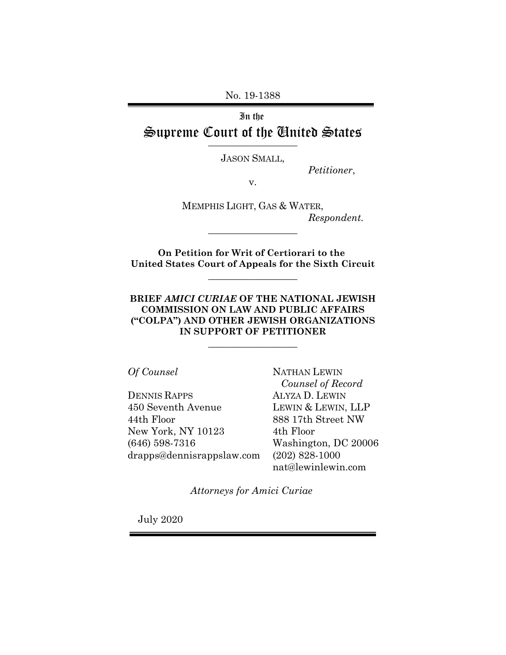No. 19-1388

In the Supreme Court of the United States

JASON SMALL,

*Petitioner*,

v.

MEMPHIS LIGHT, GAS & WATER, *Respondent.*

**On Petition for Writ of Certiorari to the United States Court of Appeals for the Sixth Circuit**

 $\_$ 

\_\_\_\_\_\_\_\_\_\_\_\_\_\_\_\_\_\_

**BRIEF** *AMICI CURIAE* **OF THE NATIONAL JEWISH COMMISSION ON LAW AND PUBLIC AFFAIRS ("COLPA") AND OTHER JEWISH ORGANIZATIONS IN SUPPORT OF PETITIONER**

 $\_$ 

*Of Counsel*

DENNIS RAPPS 450 Seventh Avenue 44th Floor New York, NY 10123 (646) 598-7316 drapps@dennisrappslaw.com NATHAN LEWIN *Counsel of Record* ALYZA D. LEWIN LEWIN & LEWIN, LLP 888 17th Street NW 4th Floor Washington, DC 20006 (202) 828-1000 nat@lewinlewin.com

*Attorneys for Amici Curiae* 

July 2020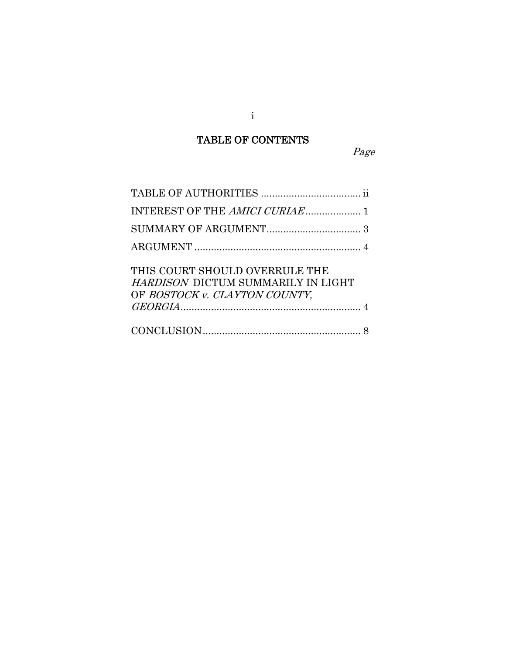# TABLE OF CONTENTS

Page

| THIS COURT SHOULD OVERRULE THE<br>HARDISON DICTUM SUMMARILY IN LIGHT<br>OF BOSTOCK v. CLAYTON COUNTY, |
|-------------------------------------------------------------------------------------------------------|
|                                                                                                       |

i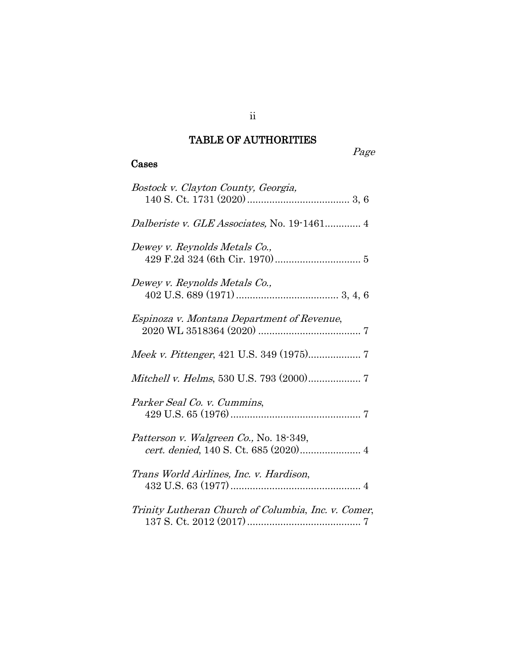## TABLE OF AUTHORITIES

Page

### Cases

| Bostock v. Clayton County, Georgia,                                             |
|---------------------------------------------------------------------------------|
| Dalberiste v. GLE Associates, No. 19-1461 4                                     |
| Dewey v. Reynolds Metals Co.,                                                   |
| Dewey v. Reynolds Metals Co.,                                                   |
| Espinoza v. Montana Department of Revenue,                                      |
|                                                                                 |
|                                                                                 |
| Parker Seal Co. v. Cummins,                                                     |
| Patterson v. Walgreen Co., No. 18-349,<br>cert. denied, 140 S. Ct. 685 (2020) 4 |
| Trans World Airlines, Inc. v. Hardison,                                         |
| Trinity Lutheran Church of Columbia, Inc. v. Comer,                             |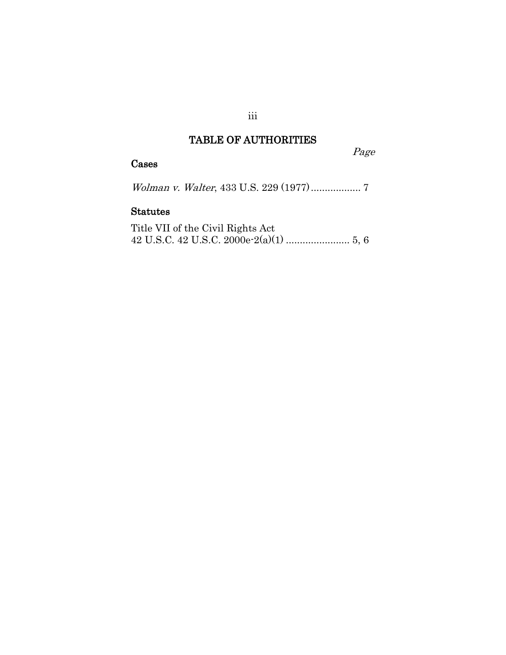## TABLE OF AUTHORITIES

Page

## Cases

Wolman v. Walter, 433 U.S. 229 (1977).................. 7

## Statutes

Title VII of the Civil Rights Act 42 U.S.C. 42 U.S.C. 2000e-2(a)(1) ....................... 5, 6

iii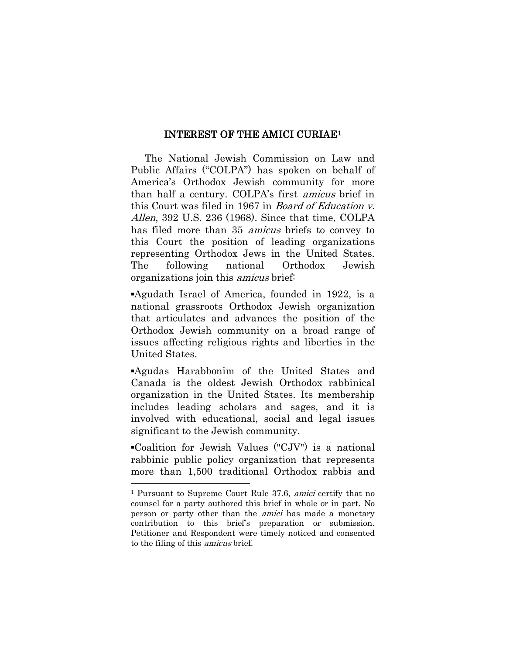#### INTEREST OF THE AMICI CURIAE[1](#page-4-0)

 The National Jewish Commission on Law and Public Affairs ("COLPA") has spoken on behalf of America's Orthodox Jewish community for more than half a century. COLPA's first amicus brief in this Court was filed in 1967 in Board of Education v. Allen, 392 U.S. 236 (1968). Since that time, COLPA has filed more than 35 amicus briefs to convey to this Court the position of leading organizations representing Orthodox Jews in the United States. The following national Orthodox Jewish organizations join this amicus brief:

▪Agudath Israel of America, founded in 1922, is a national grassroots Orthodox Jewish organization that articulates and advances the position of the Orthodox Jewish community on a broad range of issues affecting religious rights and liberties in the United States.

▪Agudas Harabbonim of the United States and Canada is the oldest Jewish Orthodox rabbinical organization in the United States. Its membership includes leading scholars and sages, and it is involved with educational, social and legal issues significant to the Jewish community.

▪Coalition for Jewish Values ("CJV") is a national rabbinic public policy organization that represents more than 1,500 traditional Orthodox rabbis and

 $\overline{a}$ 

<span id="page-4-0"></span><sup>1</sup> Pursuant to Supreme Court Rule 37.6, amici certify that no counsel for a party authored this brief in whole or in part. No person or party other than the amici has made a monetary contribution to this brief's preparation or submission. Petitioner and Respondent were timely noticed and consented to the filing of this amicus brief.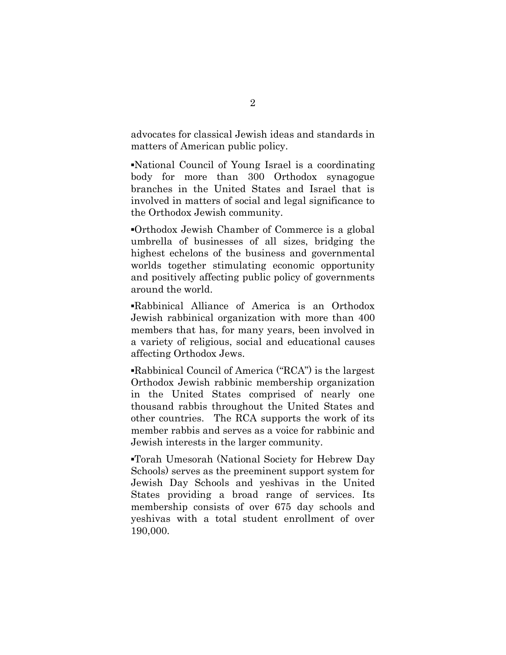advocates for classical Jewish ideas and standards in matters of American public policy.

▪National Council of Young Israel is a coordinating body for more than 300 Orthodox synagogue branches in the United States and Israel that is involved in matters of social and legal significance to the Orthodox Jewish community.

▪Orthodox Jewish Chamber of Commerce is a global umbrella of businesses of all sizes, bridging the highest echelons of the business and governmental worlds together stimulating economic opportunity and positively affecting public policy of governments around the world.

▪Rabbinical Alliance of America is an Orthodox Jewish rabbinical organization with more than 400 members that has, for many years, been involved in a variety of religious, social and educational causes affecting Orthodox Jews.

▪Rabbinical Council of America ("RCA") is the largest Orthodox Jewish rabbinic membership organization in the United States comprised of nearly one thousand rabbis throughout the United States and other countries. The RCA supports the work of its member rabbis and serves as a voice for rabbinic and Jewish interests in the larger community.

▪Torah Umesorah (National Society for Hebrew Day Schools) serves as the preeminent support system for Jewish Day Schools and yeshivas in the United States providing a broad range of services. Its membership consists of over 675 day schools and yeshivas with a total student enrollment of over 190,000.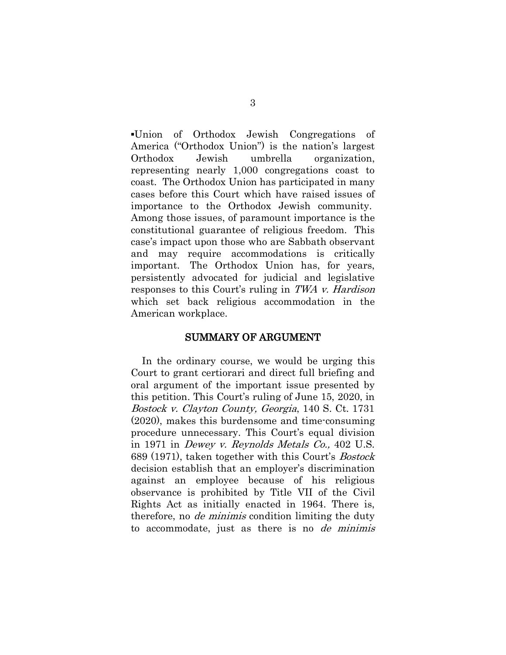▪Union of Orthodox Jewish Congregations of America ("Orthodox Union") is the nation's largest Orthodox Jewish umbrella organization, representing nearly 1,000 congregations coast to coast. The Orthodox Union has participated in many cases before this Court which have raised issues of importance to the Orthodox Jewish community. Among those issues, of paramount importance is the constitutional guarantee of religious freedom. This case's impact upon those who are Sabbath observant and may require accommodations is critically important. The Orthodox Union has, for years, persistently advocated for judicial and legislative responses to this Court's ruling in TWA v. Hardison which set back religious accommodation in the American workplace.

#### SUMMARY OF ARGUMENT

 In the ordinary course, we would be urging this Court to grant certiorari and direct full briefing and oral argument of the important issue presented by this petition. This Court's ruling of June 15, 2020, in Bostock v. Clayton County, Georgia, 140 S. Ct. 1731 (2020), makes this burdensome and time-consuming procedure unnecessary. This Court's equal division in 1971 in Dewey v. Reynolds Metals Co., 402 U.S. 689 (1971), taken together with this Court's Bostock decision establish that an employer's discrimination against an employee because of his religious observance is prohibited by Title VII of the Civil Rights Act as initially enacted in 1964. There is, therefore, no de minimis condition limiting the duty to accommodate, just as there is no de minimis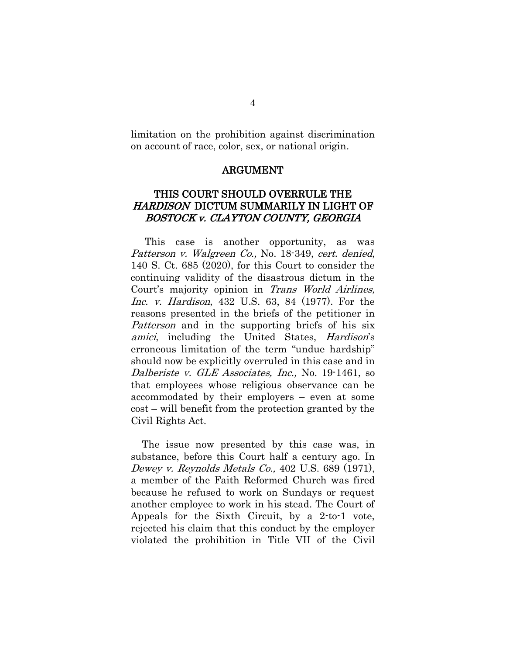limitation on the prohibition against discrimination on account of race, color, sex, or national origin.

#### ARGUMENT

### THIS COURT SHOULD OVERRULE THE HARDISON DICTUM SUMMARILY IN LIGHT OF BOSTOCK v. CLAYTON COUNTY, GEORGIA

 This case is another opportunity, as was Patterson v. Walgreen Co., No. 18-349, cert. denied, 140 S. Ct. 685 (2020), for this Court to consider the continuing validity of the disastrous dictum in the Court's majority opinion in Trans World Airlines, Inc. v. Hardison, 432 U.S. 63, 84 (1977). For the reasons presented in the briefs of the petitioner in Patterson and in the supporting briefs of his six amici, including the United States, *Hardison's* erroneous limitation of the term "undue hardship" should now be explicitly overruled in this case and in Dalberiste v. GLE Associates, Inc., No. 19-1461, so that employees whose religious observance can be accommodated by their employers – even at some cost – will benefit from the protection granted by the Civil Rights Act.

 The issue now presented by this case was, in substance, before this Court half a century ago. In Dewey v. Reynolds Metals Co., 402 U.S. 689 (1971), a member of the Faith Reformed Church was fired because he refused to work on Sundays or request another employee to work in his stead. The Court of Appeals for the Sixth Circuit, by a 2-to-1 vote, rejected his claim that this conduct by the employer violated the prohibition in Title VII of the Civil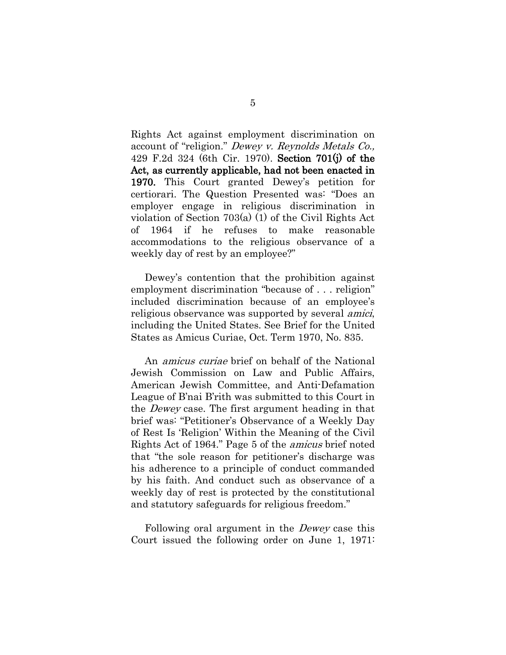Rights Act against employment discrimination on account of "religion." Dewey v. Reynolds Metals Co., 429 F.2d 324 (6th Cir. 1970). Section 701(j) of the Act, as currently applicable, had not been enacted in 1970. This Court granted Dewey's petition for certiorari. The Question Presented was: "Does an employer engage in religious discrimination in violation of Section 703(a) (1) of the Civil Rights Act of 1964 if he refuses to make reasonable accommodations to the religious observance of a weekly day of rest by an employee?"

 Dewey's contention that the prohibition against employment discrimination "because of . . . religion" included discrimination because of an employee's religious observance was supported by several amici, including the United States. See Brief for the United States as Amicus Curiae, Oct. Term 1970, No. 835.

 An amicus curiae brief on behalf of the National Jewish Commission on Law and Public Affairs, American Jewish Committee, and Anti-Defamation League of B'nai B'rith was submitted to this Court in the Dewey case. The first argument heading in that brief was: "Petitioner's Observance of a Weekly Day of Rest Is 'Religion' Within the Meaning of the Civil Rights Act of 1964." Page 5 of the amicus brief noted that "the sole reason for petitioner's discharge was his adherence to a principle of conduct commanded by his faith. And conduct such as observance of a weekly day of rest is protected by the constitutional and statutory safeguards for religious freedom."

Following oral argument in the *Dewey* case this Court issued the following order on June 1, 1971: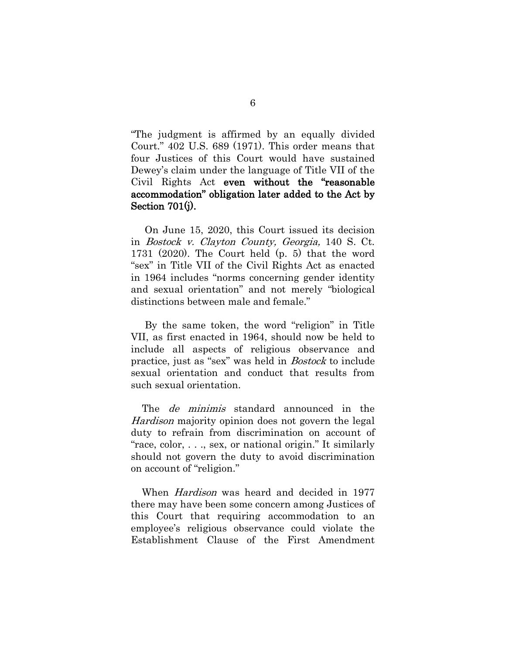"The judgment is affirmed by an equally divided Court." 402 U.S. 689 (1971). This order means that four Justices of this Court would have sustained Dewey's claim under the language of Title VII of the Civil Rights Act even without the "reasonable accommodation" obligation later added to the Act by Section 701(j).

 On June 15, 2020, this Court issued its decision in Bostock v. Clayton County, Georgia, 140 S. Ct. 1731 (2020). The Court held (p. 5) that the word "sex" in Title VII of the Civil Rights Act as enacted in 1964 includes "norms concerning gender identity and sexual orientation" and not merely "biological distinctions between male and female."

 By the same token, the word "religion" in Title VII, as first enacted in 1964, should now be held to include all aspects of religious observance and practice, just as "sex" was held in Bostock to include sexual orientation and conduct that results from such sexual orientation.

The *de minimis* standard announced in the Hardison majority opinion does not govern the legal duty to refrain from discrimination on account of "race, color, . . ., sex, or national origin." It similarly should not govern the duty to avoid discrimination on account of "religion."

When *Hardison* was heard and decided in 1977 there may have been some concern among Justices of this Court that requiring accommodation to an employee's religious observance could violate the Establishment Clause of the First Amendment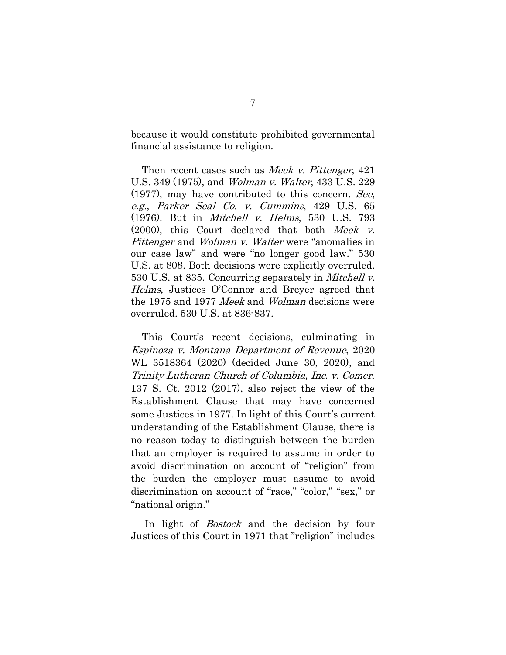because it would constitute prohibited governmental financial assistance to religion.

Then recent cases such as *Meek v. Pittenger*, 421 U.S. 349 (1975), and Wolman v. Walter, 433 U.S. 229 (1977), may have contributed to this concern. See, e.g., Parker Seal Co. v. Cummins, 429 U.S. 65 (1976). But in Mitchell v. Helms, 530 U.S. 793 (2000), this Court declared that both Meek v. Pittenger and *Wolman v. Walter* were "anomalies in our case law" and were "no longer good law." 530 U.S. at 808. Both decisions were explicitly overruled. 530 U.S. at 835. Concurring separately in Mitchell v. Helms, Justices O'Connor and Breyer agreed that the 1975 and 1977 Meek and Wolman decisions were overruled. 530 U.S. at 836-837.

 This Court's recent decisions, culminating in Espinoza v. Montana Department of Revenue, 2020 WL 3518364 (2020) (decided June 30, 2020), and Trinity Lutheran Church of Columbia, Inc. v. Comer, 137 S. Ct. 2012 (2017), also reject the view of the Establishment Clause that may have concerned some Justices in 1977. In light of this Court's current understanding of the Establishment Clause, there is no reason today to distinguish between the burden that an employer is required to assume in order to avoid discrimination on account of "religion" from the burden the employer must assume to avoid discrimination on account of "race," "color," "sex," or "national origin."

In light of *Bostock* and the decision by four Justices of this Court in 1971 that "religion" includes